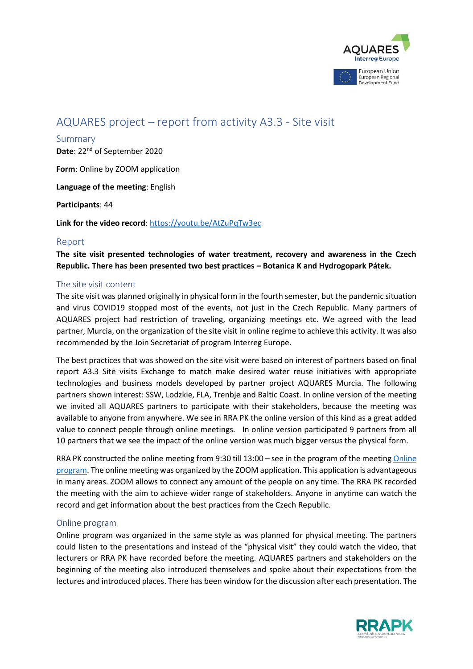

# AQUARES project – report from activity A3.3 - Site visit

#### Summary

Date: 22<sup>nd</sup> of September 2020

**Form**: Online by ZOOM application

**Language of the meeting**: English

**Participants**: 44

**Link for the video record**[: https://youtu.be/AtZuPqTw3ec](https://youtu.be/AtZuPqTw3ec)

# Report

**The site visit presented technologies of water treatment, recovery and awareness in the Czech Republic. There has been presented two best practices – Botanica K and Hydrogopark Pátek.**

# The site visit content

The site visit was planned originally in physical form in the fourth semester, but the pandemic situation and virus COVID19 stopped most of the events, not just in the Czech Republic. Many partners of AQUARES project had restriction of traveling, organizing meetings etc. We agreed with the lead partner, Murcia, on the organization of the site visit in online regime to achieve this activity. It was also recommended by the Join Secretariat of program Interreg Europe.

The best practices that was showed on the site visit were based on interest of partners based on final report A3.3 Site visits Exchange to match make desired water reuse initiatives with appropriate technologies and business models developed by partner project AQUARES Murcia. The following partners shown interest: SSW, Lodzkie, FLA, Trenbje and Baltic Coast. In online version of the meeting we invited all AQUARES partners to participate with their stakeholders, because the meeting was available to anyone from anywhere. We see in RRA PK the online version of this kind as a great added value to connect people through online meetings. In online version participated 9 partners from all 10 partners that we see the impact of the online version was much bigger versus the physical form.

RRA PK constructed the online meeting from 9:30 till 13:00 – see in the program of the meetin[g Online](#page-0-0)  [program.](#page-0-0) The online meeting was organized by the ZOOM application. This application is advantageous in many areas. ZOOM allows to connect any amount of the people on any time. The RRA PK recorded the meeting with the aim to achieve wider range of stakeholders. Anyone in anytime can watch the record and get information about the best practices from the Czech Republic.

# <span id="page-0-0"></span>Online program

Online program was organized in the same style as was planned for physical meeting. The partners could listen to the presentations and instead of the "physical visit" they could watch the video, that lecturers or RRA PK have recorded before the meeting. AQUARES partners and stakeholders on the beginning of the meeting also introduced themselves and spoke about their expectations from the lectures and introduced places. There has been window for the discussion after each presentation. The

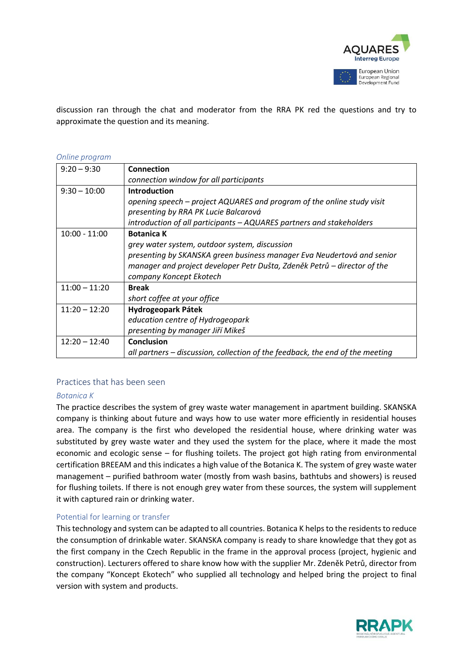

discussion ran through the chat and moderator from the RRA PK red the questions and try to approximate the question and its meaning.

#### *Online program*

| $9:20 - 9:30$   | Connection                                                                    |  |  |
|-----------------|-------------------------------------------------------------------------------|--|--|
|                 | connection window for all participants                                        |  |  |
| $9:30 - 10:00$  | <b>Introduction</b>                                                           |  |  |
|                 | opening speech – project AQUARES and program of the online study visit        |  |  |
|                 | presenting by RRA PK Lucie Balcarová                                          |  |  |
|                 | introduction of all participants – AQUARES partners and stakeholders          |  |  |
| $10:00 - 11:00$ | <b>Botanica K</b>                                                             |  |  |
|                 | grey water system, outdoor system, discussion                                 |  |  |
|                 | presenting by SKANSKA green business manager Eva Neudertová and senior        |  |  |
|                 | manager and project developer Petr Dušta, Zdeněk Petrů – director of the      |  |  |
|                 | company Koncept Ekotech                                                       |  |  |
| $11:00 - 11:20$ | <b>Break</b>                                                                  |  |  |
|                 | short coffee at your office                                                   |  |  |
| $11:20 - 12:20$ | Hydrogeopark Pátek                                                            |  |  |
|                 | education centre of Hydrogeopark                                              |  |  |
|                 | presenting by manager Jiří Mikeš                                              |  |  |
| $12:20 - 12:40$ | Conclusion                                                                    |  |  |
|                 | all partners – discussion, collection of the feedback, the end of the meeting |  |  |

# Practices that has been seen

#### *Botanica K*

The practice describes the system of grey waste water management in apartment building. SKANSKA company is thinking about future and ways how to use water more efficiently in residential houses area. The company is the first who developed the residential house, where drinking water was substituted by grey waste water and they used the system for the place, where it made the most economic and ecologic sense – for flushing toilets. The project got high rating from environmental certification BREEAM and this indicates a high value of the Botanica K. The system of grey waste water management – purified bathroom water (mostly from wash basins, bathtubs and showers) is reused for flushing toilets. If there is not enough grey water from these sources, the system will supplement it with captured rain or drinking water.

#### Potential for learning or transfer

This technology and system can be adapted to all countries. Botanica K helps to the residents to reduce the consumption of drinkable water. SKANSKA company is ready to share knowledge that they got as the first company in the Czech Republic in the frame in the approval process (project, hygienic and construction). Lecturers offered to share know how with the supplier Mr. Zdeněk Petrů, director from the company "Koncept Ekotech" who supplied all technology and helped bring the project to final version with system and products.

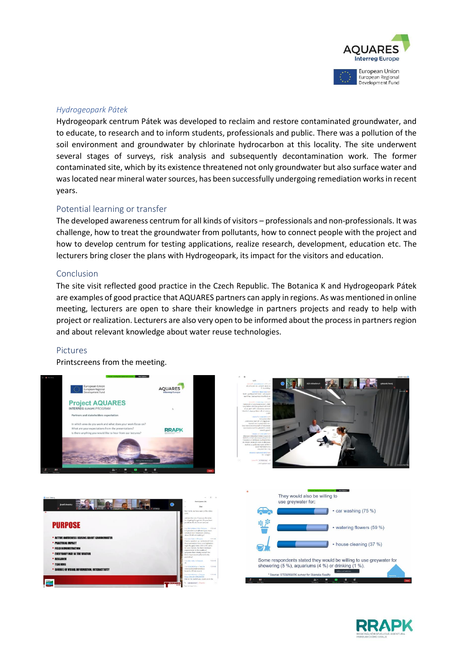

#### *Hydrogeopark Pátek*

Hydrogeopark centrum Pátek was developed to reclaim and restore contaminated groundwater, and to educate, to research and to inform students, professionals and public. There was a pollution of the soil environment and groundwater by chlorinate hydrocarbon at this locality. The site underwent several stages of surveys, risk analysis and subsequently decontamination work. The former contaminated site, which by its existence threatened not only groundwater but also surface water and was located near mineral water sources, has been successfully undergoing remediation works in recent years.

#### Potential learning or transfer

The developed awareness centrum for all kinds of visitors – professionals and non-professionals. It was challenge, how to treat the groundwater from pollutants, how to connect people with the project and how to develop centrum for testing applications, realize research, development, education etc. The lecturers bring closer the plans with Hydrogeopark, its impact for the visitors and education.

### Conclusion

The site visit reflected good practice in the Czech Republic. The Botanica K and Hydrogeopark Pátek are examples of good practice that AQUARES partners can apply in regions. As was mentioned in online meeting, lecturers are open to share their knowledge in partners projects and ready to help with project or realization. Lecturers are also very open to be informed about the process in partners region and about relevant knowledge about water reuse technologies.

#### Pictures

Printscreens from the meeting.









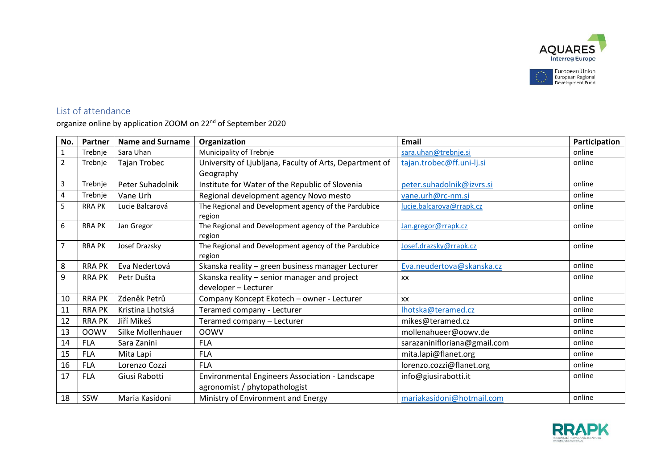

# List of attendance

organize online by application ZOOM on 22<sup>nd</sup> of September 2020

| No.            | Partner       | <b>Name and Surname</b> | Organization                                            | Email                        | Participation |
|----------------|---------------|-------------------------|---------------------------------------------------------|------------------------------|---------------|
| $\mathbf{1}$   | Trebnje       | Sara Uhan               | Municipality of Trebnje                                 | sara.uhan@trebnje.si         | online        |
| $\overline{2}$ | Trebnje       | Tajan Trobec            | University of Ljubljana, Faculty of Arts, Department of | tajan.trobec@ff.uni-lj.si    | online        |
|                |               |                         | Geography                                               |                              |               |
| 3              | Trebnje       | Peter Suhadolnik        | Institute for Water of the Republic of Slovenia         | peter.suhadolnik@izvrs.si    | online        |
| 4              | Trebnje       | Vane Urh                | Regional development agency Novo mesto                  | vane.urh@rc-nm.si            | online        |
| 5              | <b>RRA PK</b> | Lucie Balcarová         | The Regional and Development agency of the Pardubice    | lucie.balcarova@rrapk.cz     | online        |
|                |               |                         | region                                                  |                              |               |
| 6              | <b>RRA PK</b> | Jan Gregor              | The Regional and Development agency of the Pardubice    | Jan.gregor@rrapk.cz          | online        |
|                |               |                         | region                                                  |                              |               |
| $\overline{7}$ | <b>RRA PK</b> | Josef Drazsky           | The Regional and Development agency of the Pardubice    | Josef.drazsky@rrapk.cz       | online        |
|                |               |                         | region                                                  |                              |               |
| 8              | <b>RRA PK</b> | Eva Nedertová           | Skanska reality - green business manager Lecturer       | Eva.neudertova@skanska.cz    | online        |
| 9              | <b>RRA PK</b> | Petr Dušta              | Skanska reality - senior manager and project            | XX                           | online        |
|                |               |                         | developer - Lecturer                                    |                              |               |
| 10             | <b>RRA PK</b> | Zdeněk Petrů            | Company Koncept Ekotech - owner - Lecturer              | XX                           | online        |
| 11             | <b>RRA PK</b> | Kristina Lhotská        | Teramed company - Lecturer                              | Ihotska@teramed.cz           | online        |
| 12             | <b>RRA PK</b> | Jiří Mikeš              | Teramed company - Lecturer                              | mikes@teramed.cz             | online        |
| 13             | <b>OOWV</b>   | Silke Mollenhauer       | <b>OOWV</b>                                             | mollenahueer@oowv.de         | online        |
| 14             | <b>FLA</b>    | Sara Zanini             | <b>FLA</b>                                              | sarazaninifloriana@gmail.com | online        |
| 15             | <b>FLA</b>    | Mita Lapi               | <b>FLA</b>                                              | mita.lapi@flanet.org         | online        |
| 16             | <b>FLA</b>    | Lorenzo Cozzi           | <b>FLA</b>                                              | lorenzo.cozzi@flanet.org     | online        |
| 17             | <b>FLA</b>    | Giusi Rabotti           | Environmental Engineers Association - Landscape         | info@giusirabotti.it         | online        |
|                |               |                         | agronomist / phytopathologist                           |                              |               |
| 18             | SSW           | Maria Kasidoni          | Ministry of Environment and Energy                      | mariakasidoni@hotmail.com    | online        |

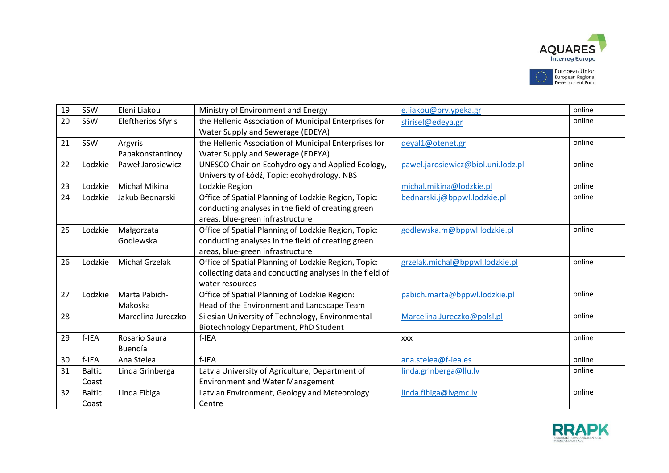

| 19 | SSW           | Eleni Liakou              | Ministry of Environment and Energy                      | e.liakou@prv.ypeka.gr              | online |
|----|---------------|---------------------------|---------------------------------------------------------|------------------------------------|--------|
| 20 | SSW           | <b>Eleftherios Sfyris</b> | the Hellenic Association of Municipal Enterprises for   | sfirisel@edeya.gr                  | online |
|    |               |                           | Water Supply and Sewerage (EDEYA)                       |                                    |        |
| 21 | SSW           | Argyris                   | the Hellenic Association of Municipal Enterprises for   | deyal1@otenet.gr                   | online |
|    |               | Papakonstantinoy          | Water Supply and Sewerage (EDEYA)                       |                                    |        |
| 22 | Lodzkie       | Paweł Jarosiewicz         | UNESCO Chair on Ecohydrology and Applied Ecology,       | pawel.jarosiewicz@biol.uni.lodz.pl | online |
|    |               |                           | University of Łódź, Topic: ecohydrology, NBS            |                                    |        |
| 23 | Lodzkie       | Michał Mikina             | Lodzkie Region                                          | michal.mikina@lodzkie.pl           | online |
| 24 | Lodzkie       | Jakub Bednarski           | Office of Spatial Planning of Lodzkie Region, Topic:    | bednarski.j@bppwl.lodzkie.pl       | online |
|    |               |                           | conducting analyses in the field of creating green      |                                    |        |
|    |               |                           | areas, blue-green infrastructure                        |                                    |        |
| 25 | Lodzkie       | Małgorzata                | Office of Spatial Planning of Lodzkie Region, Topic:    | godlewska.m@bppwl.lodzkie.pl       | online |
|    |               | Godlewska                 | conducting analyses in the field of creating green      |                                    |        |
|    |               |                           | areas, blue-green infrastructure                        |                                    |        |
| 26 | Lodzkie       | <b>Michał Grzelak</b>     | Office of Spatial Planning of Lodzkie Region, Topic:    | grzelak.michal@bppwl.lodzkie.pl    | online |
|    |               |                           | collecting data and conducting analyses in the field of |                                    |        |
|    |               |                           | water resources                                         |                                    |        |
| 27 | Lodzkie       | Marta Pabich-             | Office of Spatial Planning of Lodzkie Region:           | pabich.marta@bppwl.lodzkie.pl      | online |
|    |               | Makoska                   | Head of the Environment and Landscape Team              |                                    |        |
| 28 |               | Marcelina Jureczko        | Silesian University of Technology, Environmental        | Marcelina.Jureczko@polsl.pl        | online |
|    |               |                           | Biotechnology Department, PhD Student                   |                                    |        |
| 29 | f-IEA         | Rosario Saura             | f-IEA                                                   | <b>XXX</b>                         | online |
|    |               | Buendía                   |                                                         |                                    |        |
| 30 | f-IEA         | Ana Stelea                | f-IEA                                                   | ana.stelea@f-iea.es                | online |
| 31 | <b>Baltic</b> | Linda Grinberga           | Latvia University of Agriculture, Department of         | linda.grinberga@llu.lv             | online |
|    | Coast         |                           | <b>Environment and Water Management</b>                 |                                    |        |
| 32 | <b>Baltic</b> | Linda Fibiga              | Latvian Environment, Geology and Meteorology            | linda.fibiga@lvgmc.lv              | online |
|    | Coast         |                           | Centre                                                  |                                    |        |